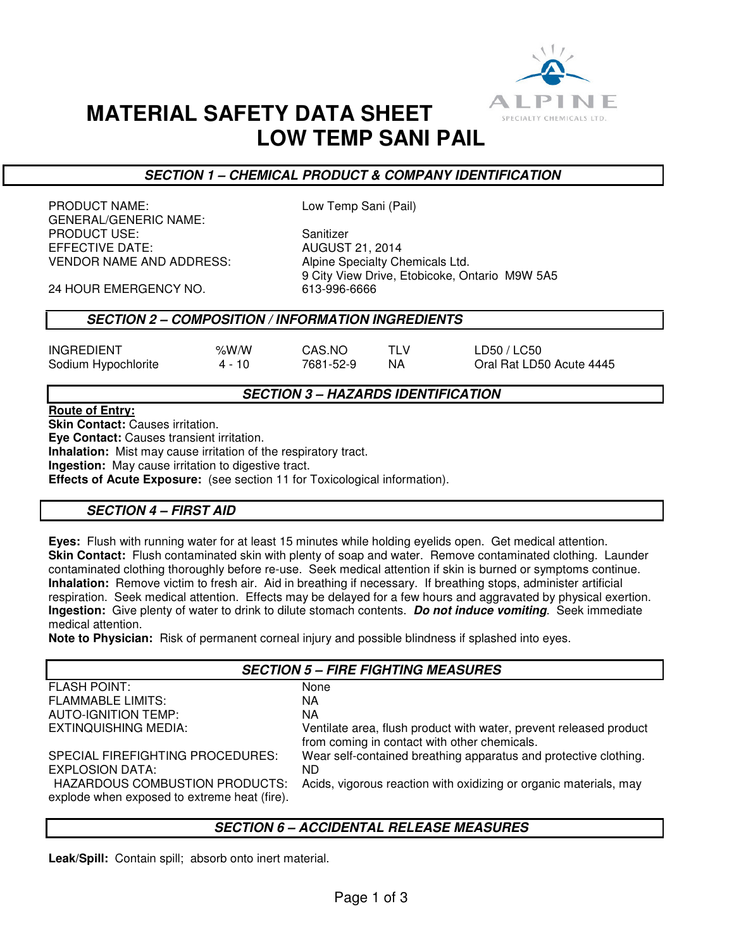

# **MATERIAL SAFETY DATA SHEET LOW TEMP SANI PAIL**

## **SECTION 1 – CHEMICAL PRODUCT & COMPANY IDENTIFICATION**

PRODUCT NAME: Low Temp Sani (Pail) GENERAL/GENERIC NAME: PRODUCT USE:<br>EFFECTIVE DATE: Sanitizer AUGUST 21, 2014 **EFFECTIVE DATE:** VENDOR NAME AND ADDRESS: Alpine Specialty Chemicals Ltd.

9 City View Drive, Etobicoke, Ontario M9W 5A5<br>613-996-6666

24 HOUR EMERGENCY NO.

### **SECTION 2 – COMPOSITION / INFORMATION INGREDIENTS**

| <b>INGREDIENT</b>   | % $W/M$ | CAS.NO    | TI V | LD50 / LC50              |
|---------------------|---------|-----------|------|--------------------------|
| Sodium Hypochlorite | 4 - 10  | 7681-52-9 | ΝA   | Oral Rat LD50 Acute 4445 |

### **SECTION 3 – HAZARDS IDENTIFICATION**

### **Route of Entry:**

**Skin Contact:** Causes irritation.

**Eye Contact:** Causes transient irritation.

**Inhalation:** Mist may cause irritation of the respiratory tract.

**Ingestion:** May cause irritation to digestive tract.

**Effects of Acute Exposure:** (see section 11 for Toxicological information).

## **SECTION 4 – FIRST AID**

**Eyes:** Flush with running water for at least 15 minutes while holding eyelids open. Get medical attention. **Skin Contact:** Flush contaminated skin with plenty of soap and water. Remove contaminated clothing. Launder contaminated clothing thoroughly before re-use. Seek medical attention if skin is burned or symptoms continue. **Inhalation:** Remove victim to fresh air. Aid in breathing if necessary. If breathing stops, administer artificial respiration. Seek medical attention. Effects may be delayed for a few hours and aggravated by physical exertion. **Ingestion:** Give plenty of water to drink to dilute stomach contents. **Do not induce vomiting**. Seek immediate medical attention.

**Note to Physician:** Risk of permanent corneal injury and possible blindness if splashed into eyes.

| <b>SECTION 5 - FIRE FIGHTING MEASURES</b>                                      |                                                                                                                    |  |
|--------------------------------------------------------------------------------|--------------------------------------------------------------------------------------------------------------------|--|
| <b>FLASH POINT:</b>                                                            | None                                                                                                               |  |
| <b>FLAMMABLE LIMITS:</b>                                                       | NА                                                                                                                 |  |
| <b>AUTO-IGNITION TEMP:</b>                                                     | NА                                                                                                                 |  |
| EXTINQUISHING MEDIA:                                                           | Ventilate area, flush product with water, prevent released product<br>from coming in contact with other chemicals. |  |
| SPECIAL FIREFIGHTING PROCEDURES:<br>EXPLOSION DATA:                            | Wear self-contained breathing apparatus and protective clothing.<br>ND.                                            |  |
| HAZARDOUS COMBUSTION PRODUCTS:<br>explode when exposed to extreme heat (fire). | Acids, vigorous reaction with oxidizing or organic materials, may                                                  |  |

### **SECTION 6 – ACCIDENTAL RELEASE MEASURES**

**Leak/Spill:** Contain spill; absorb onto inert material.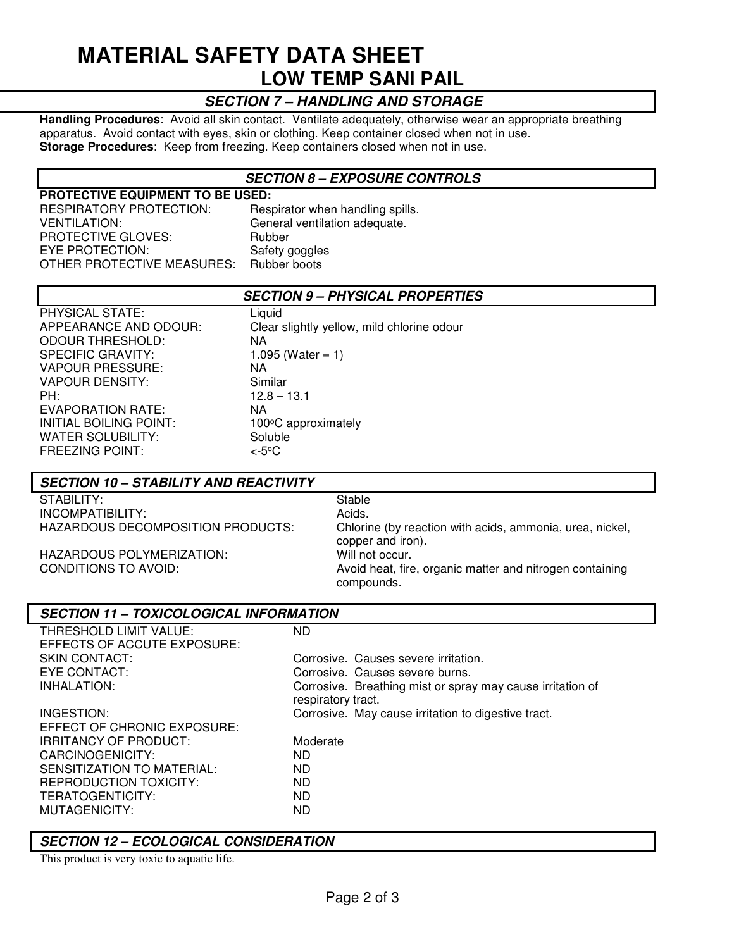# **MATERIAL SAFETY DATA SHEET LOW TEMP SANI PAIL**

# **SECTION 7 – HANDLING AND STORAGE**

**Handling Procedures**: Avoid all skin contact. Ventilate adequately, otherwise wear an appropriate breathing apparatus. Avoid contact with eyes, skin or clothing. Keep container closed when not in use. **Storage Procedures**: Keep from freezing. Keep containers closed when not in use.

### **SECTION 8 – EXPOSURE CONTROLS**

**PROTECTIVE EQUIPMENT TO BE USED:**  RESPIRATORY PROTECTION: Respirator when handling spills. VENTILATION: General ventilation adequate. PROTECTIVE GLOVES: Rubber EYE PROTECTION: Safety goggles<br>OTHER PROTECTIVE MEASURES: Rubber boots OTHER PROTECTIVE MEASURES:

### **SECTION 9 – PHYSICAL PROPERTIES**

| PHYSICAL STATE:          | Liquid                                     |
|--------------------------|--------------------------------------------|
| APPEARANCE AND ODOUR:    | Clear slightly yellow, mild chlorine odour |
| <b>ODOUR THRESHOLD:</b>  | ΝA                                         |
| <b>SPECIFIC GRAVITY:</b> | 1.095 (Water = 1)                          |
| <b>VAPOUR PRESSURE:</b>  | NA.                                        |
| VAPOUR DENSITY:          | Similar                                    |
| PH:                      | $12.8 - 13.1$                              |
| EVAPORATION RATE:        | NA.                                        |
| INITIAL BOILING POINT:   | 100°C approximately                        |
| <b>WATER SOLUBILITY:</b> | Soluble                                    |
| <b>FREEZING POINT:</b>   | <-5ºC                                      |
|                          |                                            |

### **SECTION 10 – STABILITY AND REACTIVITY**

| STABILITY:                        | -Stable |
|-----------------------------------|---------|
| INCOMPATIBILITY:                  | Acids.  |
| HAZARDOUS DECOMPOSITION PRODUCTS: | Chlorin |

Chlorine (by reaction with acids, ammonia, urea, nickel, copper and iron). HAZARDOUS POLYMERIZATION: Will not occur.<br>CONDITIONS TO AVOID: Avoid heat. fire Avoid heat, fire, organic matter and nitrogen containing compounds.

### **SECTION 11 – TOXICOLOGICAL INFORMATION**

| THRESHOLD LIMIT VALUE:      | <b>ND</b>                                                                        |
|-----------------------------|----------------------------------------------------------------------------------|
| EFFECTS OF ACCUTE EXPOSURE: |                                                                                  |
| SKIN CONTACT:               | Corrosive. Causes severe irritation.                                             |
| EYE CONTACT:                | Corrosive. Causes severe burns.                                                  |
| INHALATION:                 | Corrosive. Breathing mist or spray may cause irritation of<br>respiratory tract. |
| INGESTION:                  | Corrosive. May cause irritation to digestive tract.                              |
| EFFECT OF CHRONIC EXPOSURE: |                                                                                  |
| IRRITANCY OF PRODUCT:       | Moderate                                                                         |
| CARCINOGENICITY:            | ND.                                                                              |
| SENSITIZATION TO MATERIAL:  | ND.                                                                              |
| REPRODUCTION TOXICITY:      | ND                                                                               |
| TERATOGENTICITY:            | ND.                                                                              |
| MUTAGENICITY:               | ND                                                                               |
|                             |                                                                                  |

### **SECTION 12 – ECOLOGICAL CONSIDERATION**

This product is very toxic to aquatic life.